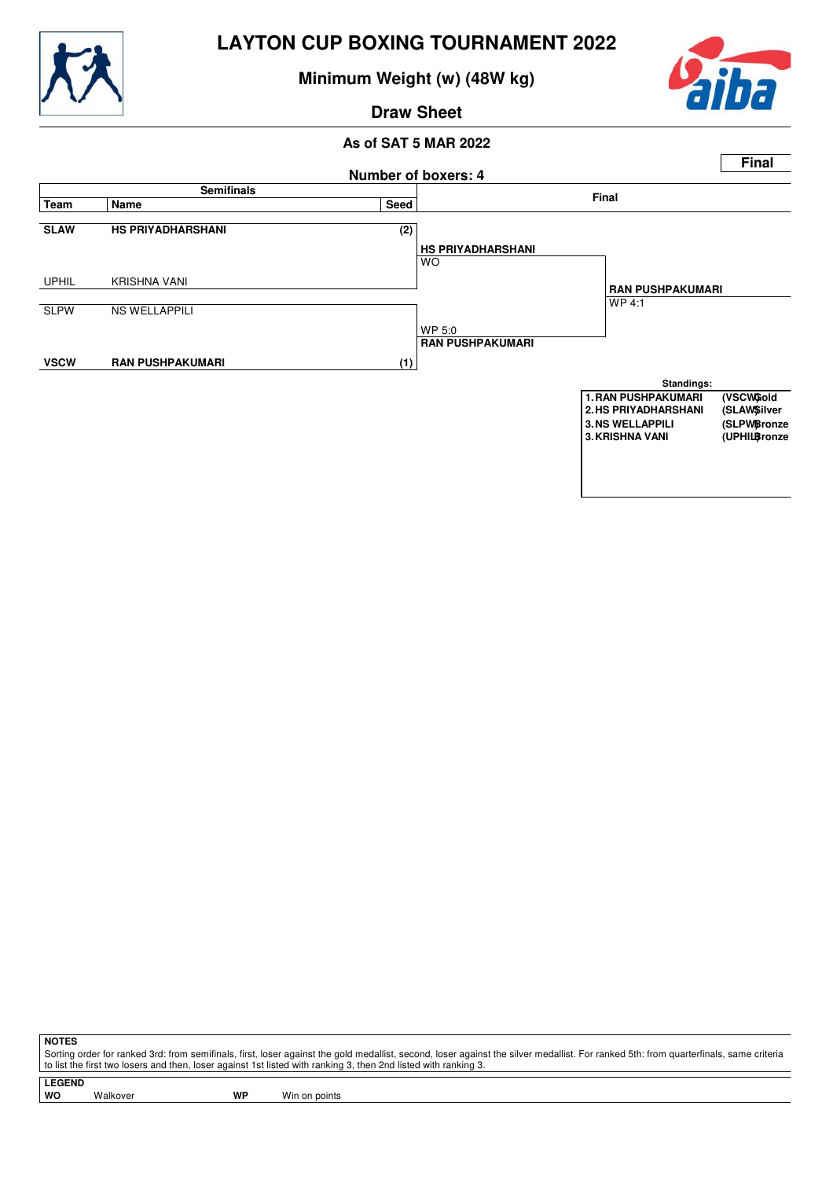

**Minimum Weight (w) (48W kg)**



**Draw Sheet**

### **As of SAT 5 MAR 2022**



**NOTES**

Sorting order for ranked 3rd: from semifinals, first, loser against the gold medallist, second, loser against the silver medallist. For ranked 5th: from quarterfinals, same criteria to list the first two losers and then, loser against 1st listed with ranking 3, then 2nd listed with ranking 3.

**LEGEND**

Walkover **WP** Win on points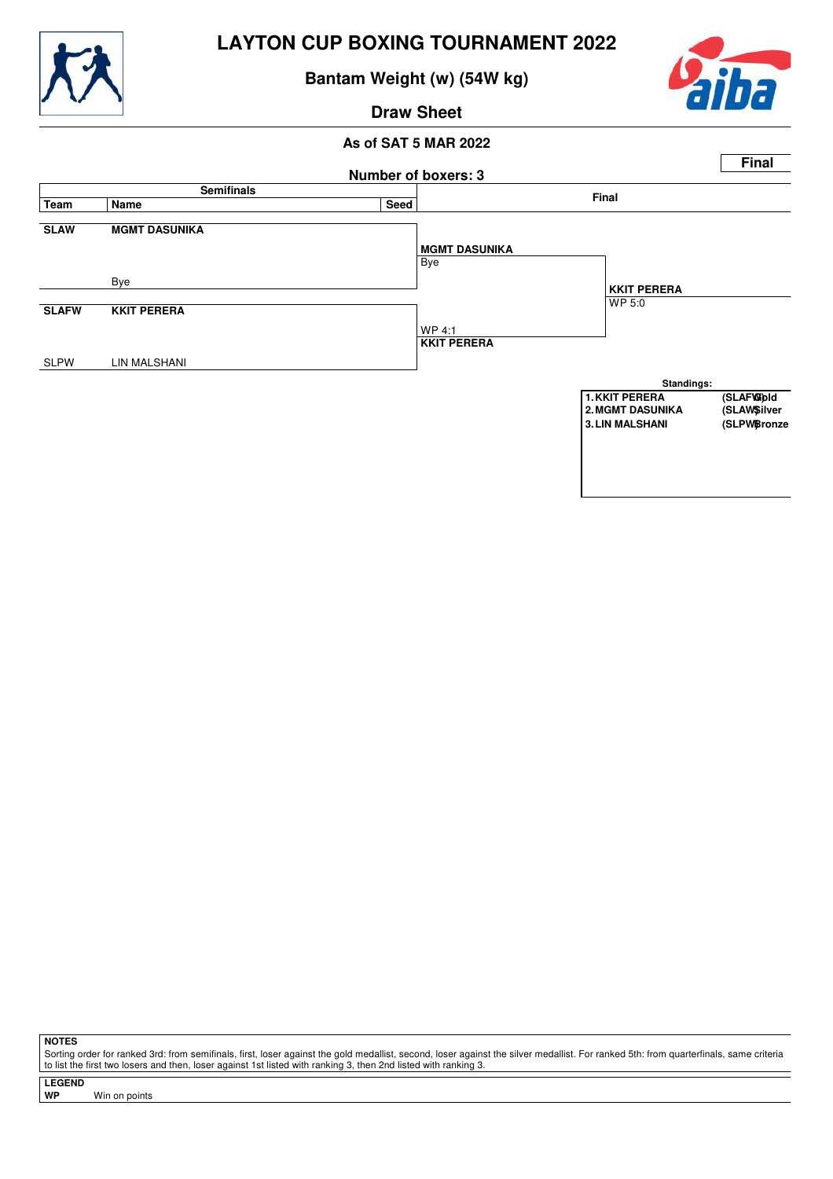

**Bantam Weight (w) (54W kg)**



**Draw Sheet**

## **As of SAT 5 MAR 2022**



**NOTES**

Sorting order for ranked 3rd: from semifinals, first, loser against the gold medallist, second, loser against the silver medallist. For ranked 5th: from quarterfinals, same criteria to list the first two losers and then, loser against 1st listed with ranking 3, then 2nd listed with ranking 3.

**LEGEND**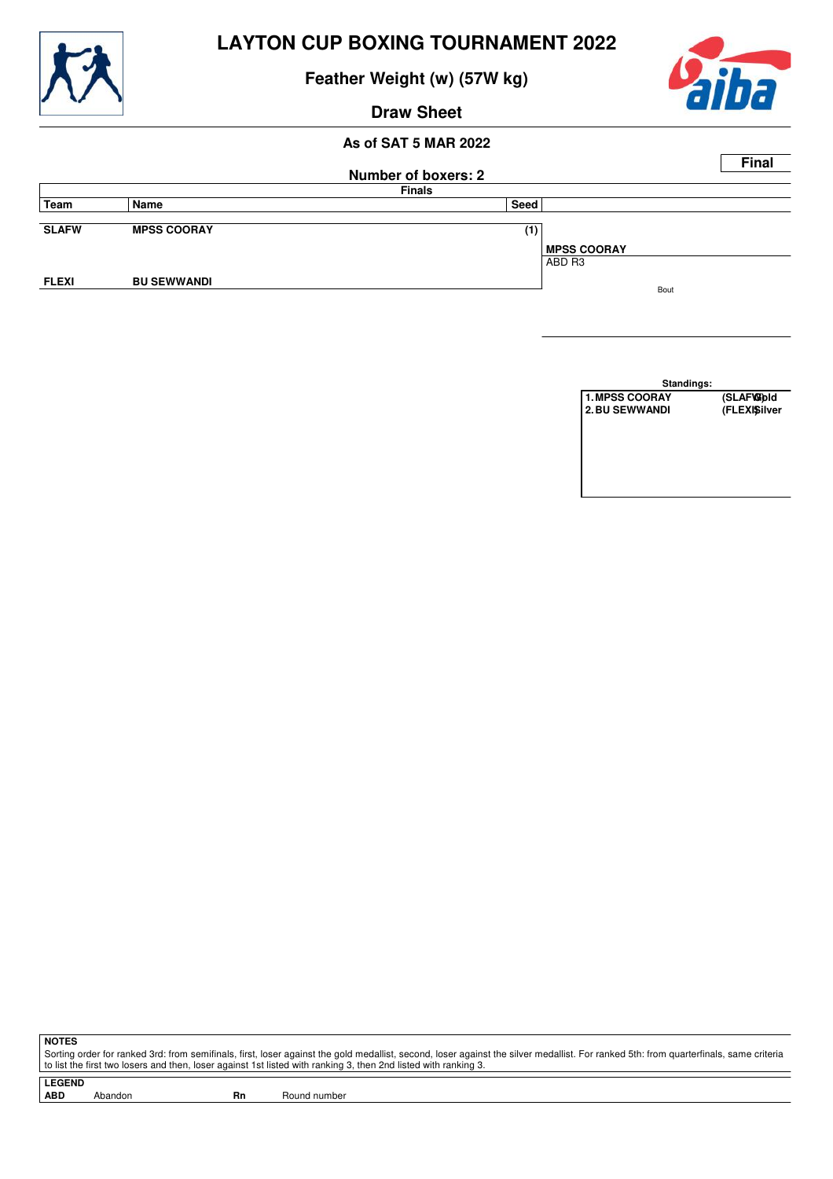

**Feather Weight (w) (57W kg)**



## **Draw Sheet**

#### **As of SAT 5 MAR 2022**

|              |                    |                            |                    | <b>Final</b> |
|--------------|--------------------|----------------------------|--------------------|--------------|
|              |                    | <b>Number of boxers: 2</b> |                    |              |
|              |                    | <b>Finals</b>              |                    |              |
| Team         | Name               | Seed                       |                    |              |
|              |                    |                            |                    |              |
| <b>SLAFW</b> | <b>MPSS COORAY</b> | (1)                        |                    |              |
|              |                    |                            | <b>MPSS COORAY</b> |              |
|              |                    |                            | ABD R3             |              |
| <b>FLEXI</b> | <b>BU SEWWANDI</b> |                            |                    |              |
|              |                    |                            | Bout               |              |

**Standings: 1. MPSS COORAY** (SLAFW)<br>2. BU SEWWANDI (FLEXISilver **2.BU SEWWANDI** 

**NOTES**

Sorting order for ranked 3rd: from semifinals, first, loser against the gold medallist, second, loser against the silver medallist. For ranked 5th: from quarterfinals, same criteria to list the first two losers and then, loser against 1st listed with ranking 3, then 2nd listed with ranking 3.

**LEGEND**

Abandon **Rn** Round number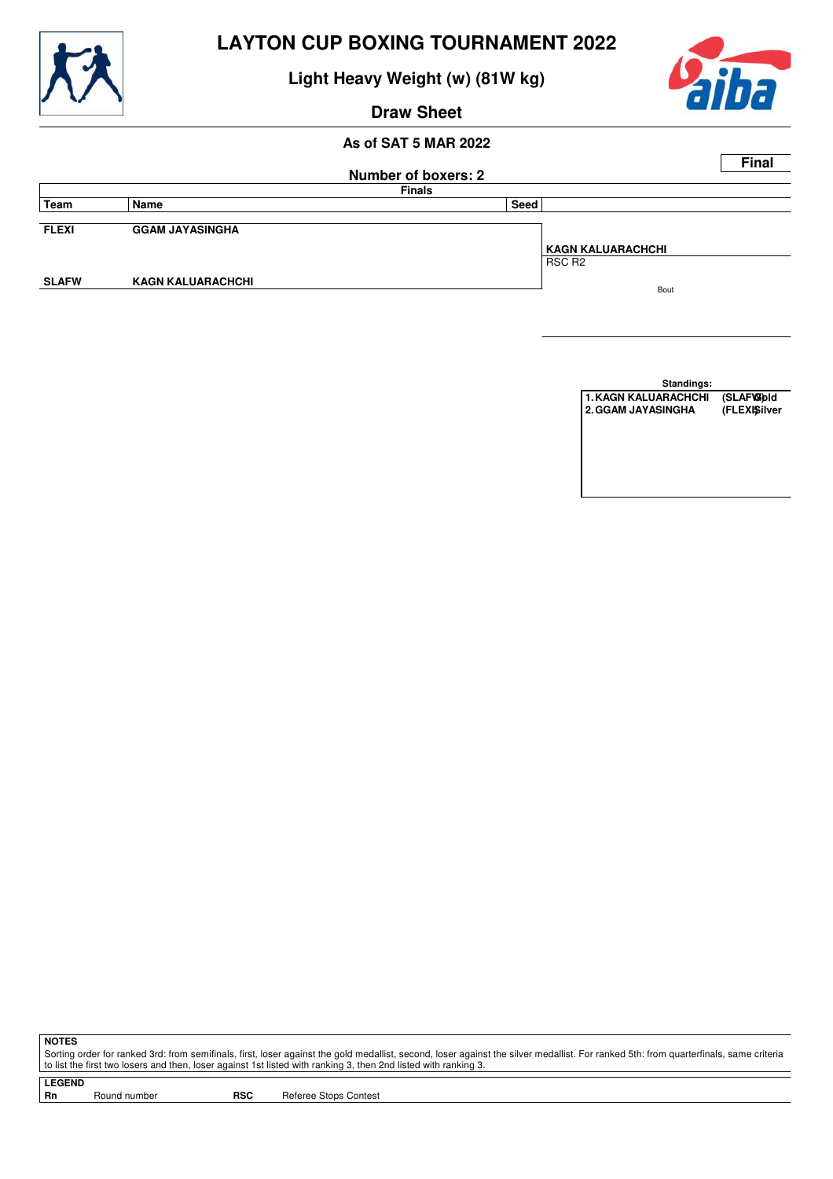

**Light Heavy Weight (w) (81W kg)**



# **Draw Sheet**

## **As of SAT 5 MAR 2022**

|              |                          |                            |                    | <b>Final</b> |
|--------------|--------------------------|----------------------------|--------------------|--------------|
|              |                          | <b>Number of boxers: 2</b> |                    |              |
|              |                          | <b>Finals</b>              |                    |              |
| Team         | Name                     | Seed                       |                    |              |
|              |                          |                            |                    |              |
| <b>FLEXI</b> | <b>GGAM JAYASINGHA</b>   |                            |                    |              |
|              |                          |                            | KAGN KALUARACHCHI  |              |
|              |                          |                            | RSC R <sub>2</sub> |              |
| <b>SLAFW</b> | <b>KAGN KALUARACHCHI</b> |                            | Bout               |              |
|              |                          |                            |                    |              |
|              |                          |                            |                    |              |

**Standings:**

1. KAGN KALUARACHCHI (SLAF**W**)dd<br>2. GGAM JAYASINGHA (FLEXISilver **2. GGAM JAYASINGHA** 

**NOTES**

Sorting order for ranked 3rd: from semifinals, first, loser against the gold medallist, second, loser against the silver medallist. For ranked 5th: from quarterfinals, same criteria to list the first two losers and then, loser against 1st listed with ranking 3, then 2nd listed with ranking 3.

**LEGEND**

Round number **RSC** Referee Stops Contest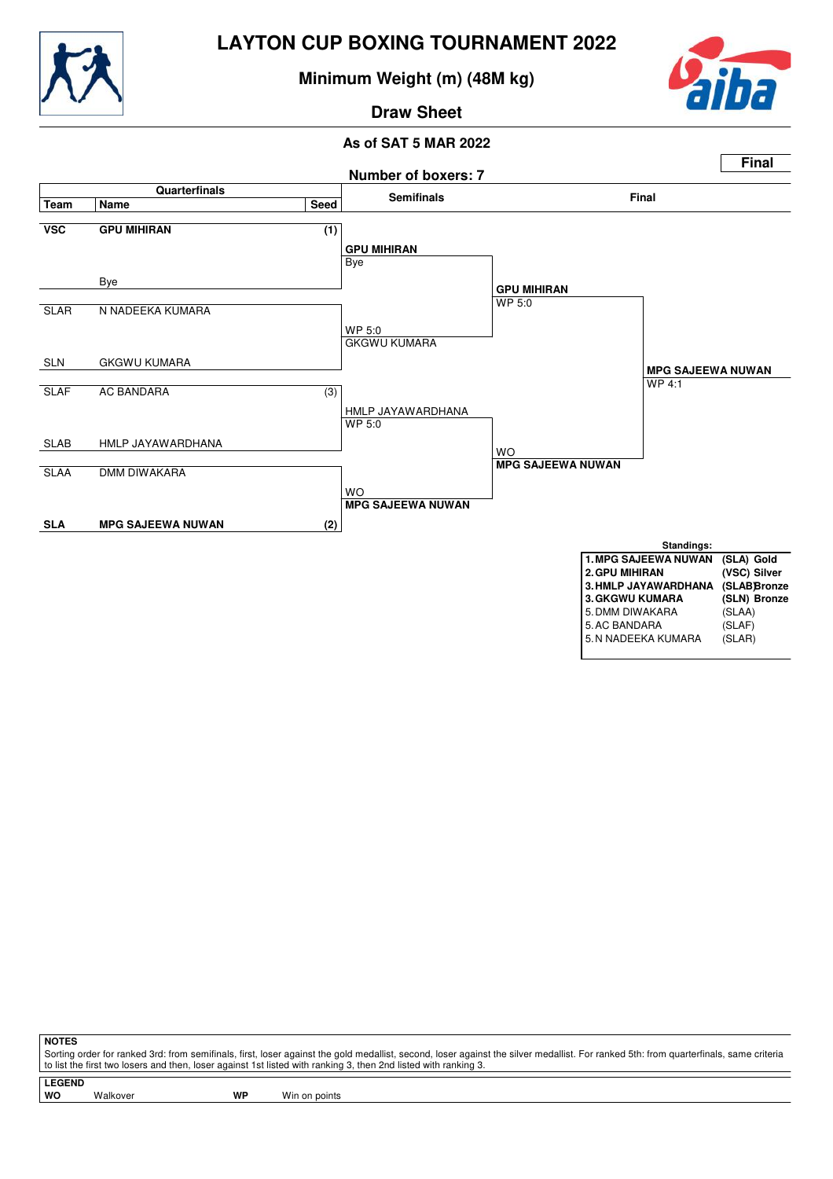

**Minimum Weight (m) (48M kg)**



**Draw Sheet**

#### **As of SAT 5 MAR 2022**



| 5. AC BANDARA       | (SLAF) |
|---------------------|--------|
| 5. N NADEEKA KUMARA | (SLAR) |

**NOTES**

Sorting order for ranked 3rd: from semifinals, first, loser against the gold medallist, second, loser against the silver medallist. For ranked 5th: from quarterfinals, same criteria to list the first two losers and then, loser against 1st listed with ranking 3, then 2nd listed with ranking 3.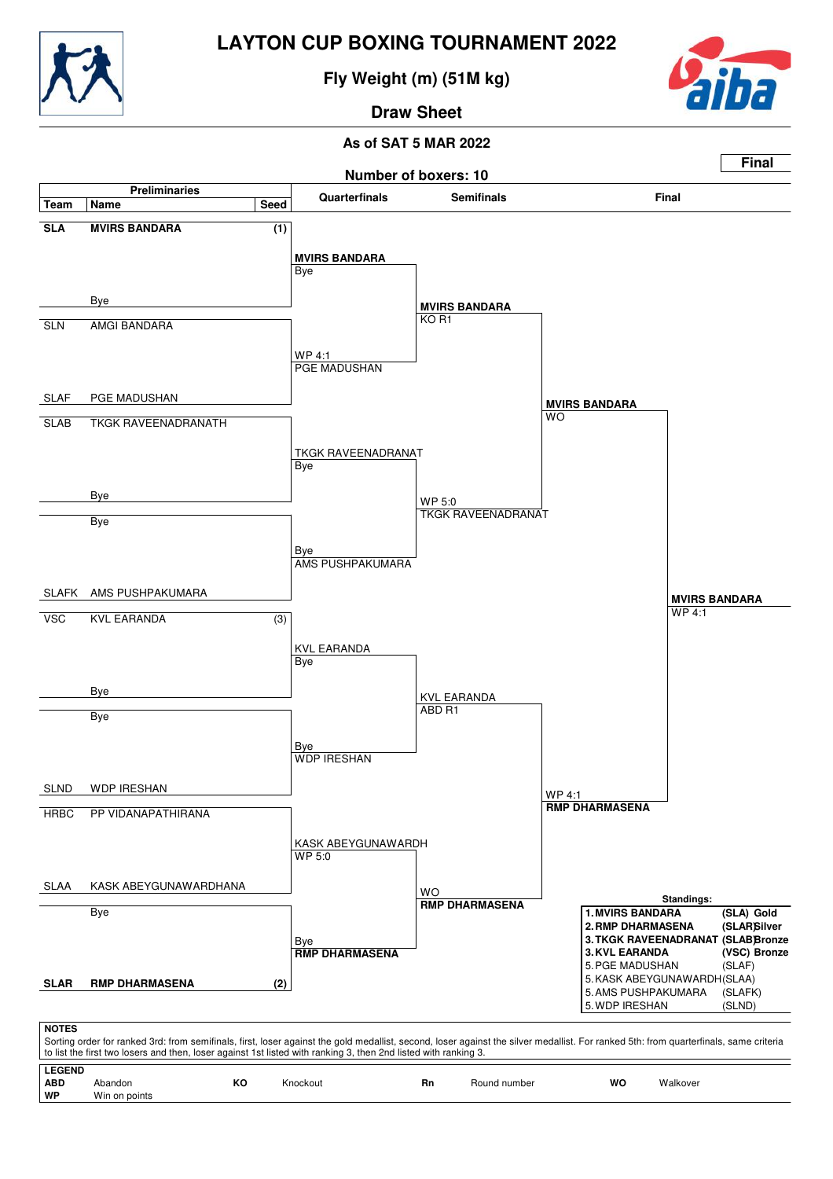

**Fly Weight (m) (51M kg)**



**Draw Sheet**

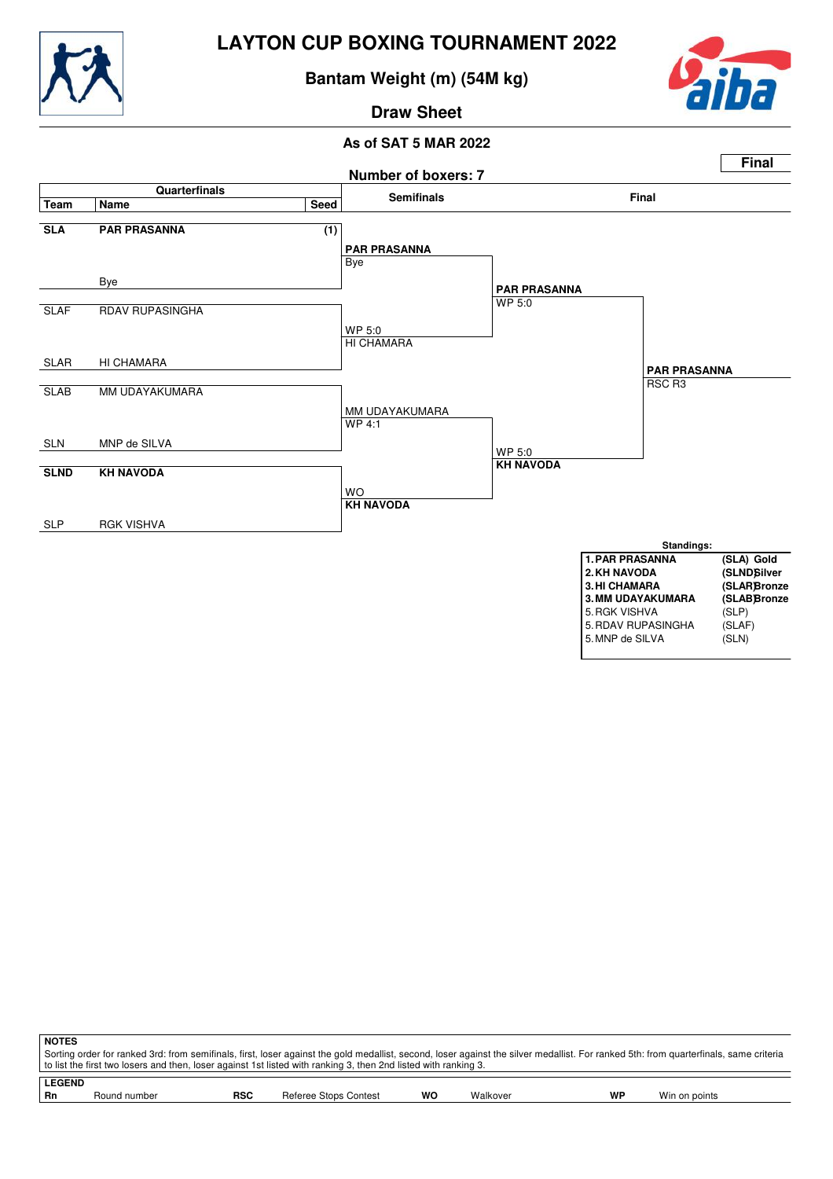

**Bantam Weight (m) (54M kg)**



**Draw Sheet**



|               | <b>NOTES</b>                                                                                                                                                                          |              |            |                       |    |          |    |               |  |
|---------------|---------------------------------------------------------------------------------------------------------------------------------------------------------------------------------------|--------------|------------|-----------------------|----|----------|----|---------------|--|
|               | Sorting order for ranked 3rd: from semifinals, first, loser against the gold medallist, second, loser against the silver medallist. For ranked 5th: from quarterfinals, same criteria |              |            |                       |    |          |    |               |  |
|               | to list the first two losers and then, loser against 1st listed with ranking 3, then 2nd listed with ranking 3.                                                                       |              |            |                       |    |          |    |               |  |
| <b>LEGEND</b> |                                                                                                                                                                                       |              |            |                       |    |          |    |               |  |
|               | Rn                                                                                                                                                                                    | Round number | <b>RSC</b> | Referee Stops Contest | wo | Walkover | WP | Win on points |  |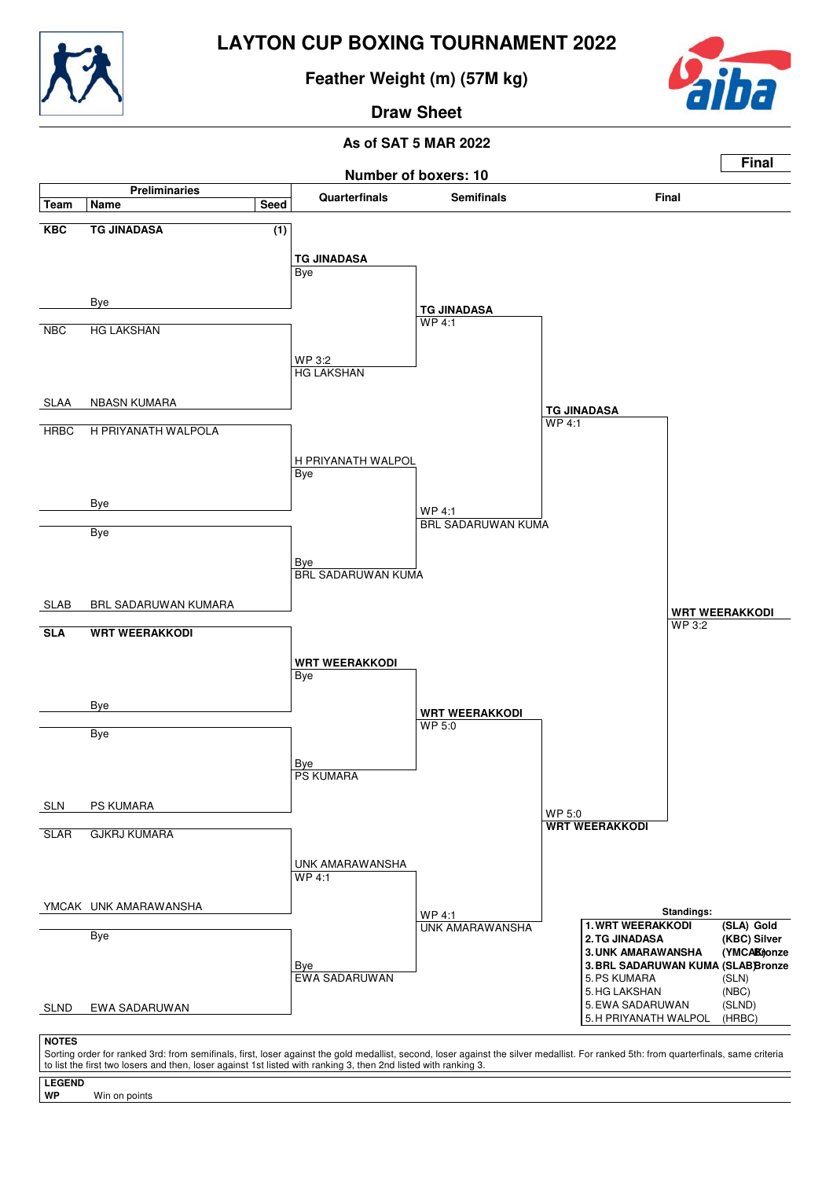

**Feather Weight (m) (57M kg)**



**Draw Sheet**

#### **As of SAT 5 MAR 2022**



**LEGEND**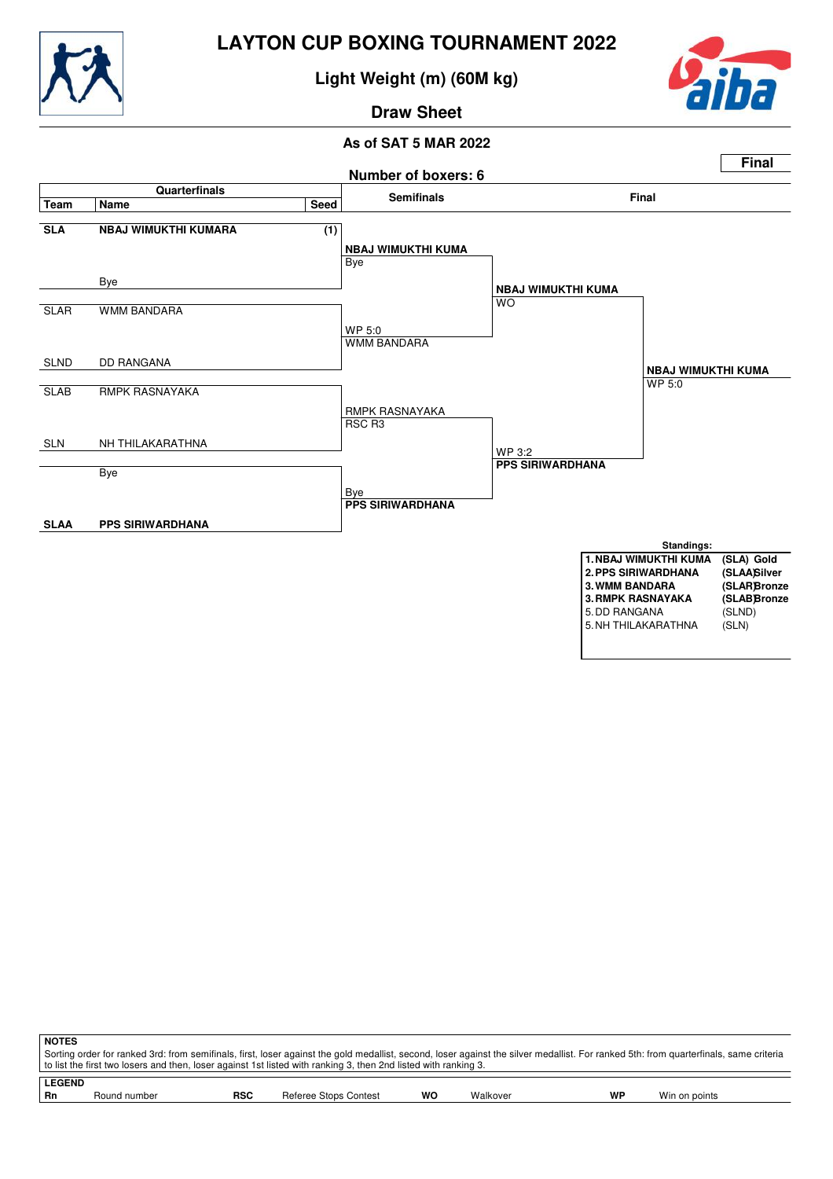

**Light Weight (m) (60M kg)**



**Draw Sheet**



| <b>NOTES</b>  |                                                                                                                                                                                       |            |                       |    |          |    |               |  |  |
|---------------|---------------------------------------------------------------------------------------------------------------------------------------------------------------------------------------|------------|-----------------------|----|----------|----|---------------|--|--|
|               | Sorting order for ranked 3rd: from semifinals, first, loser against the gold medallist, second, loser against the silver medallist. For ranked 5th: from quarterfinals, same criteria |            |                       |    |          |    |               |  |  |
|               | to list the first two losers and then, loser against 1st listed with ranking 3, then 2nd listed with ranking 3.                                                                       |            |                       |    |          |    |               |  |  |
| <b>LEGEND</b> |                                                                                                                                                                                       |            |                       |    |          |    |               |  |  |
|               |                                                                                                                                                                                       |            |                       |    |          |    |               |  |  |
| Rn            | Round number                                                                                                                                                                          | <b>RSC</b> | Referee Stops Contest | wo | Walkover | WP | Win on points |  |  |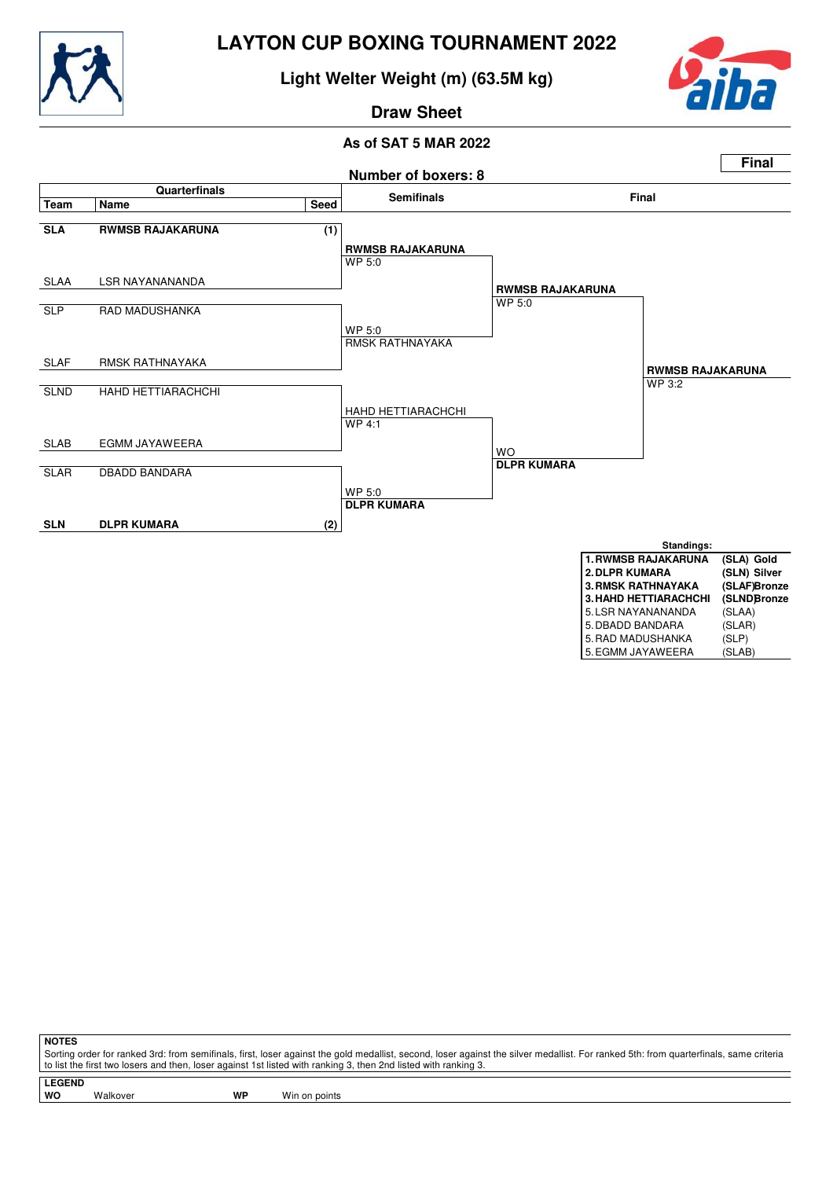

**Light Welter Weight (m) (63.5M kg)**



#### **Draw Sheet**

#### **As of SAT 5 MAR 2022**



|                       | , <del>.</del> |
|-----------------------|----------------|
| 3. HAHD HETTIARACHCHI | (SLNDBronze    |
| 5. LSR NAYANANANDA    | (SLAA)         |
| 5. DBADD BANDARA      | (SLAR)         |
| 5. RAD MADUSHANKA     | (SLP)          |
| 5. EGMM JAYAWEERA     | (SLAB)         |

**NOTES**

Sorting order for ranked 3rd: from semifinals, first, loser against the gold medallist, second, loser against the silver medallist. For ranked 5th: from quarterfinals, same criteria to list the first two losers and then, loser against 1st listed with ranking 3, then 2nd listed with ranking 3.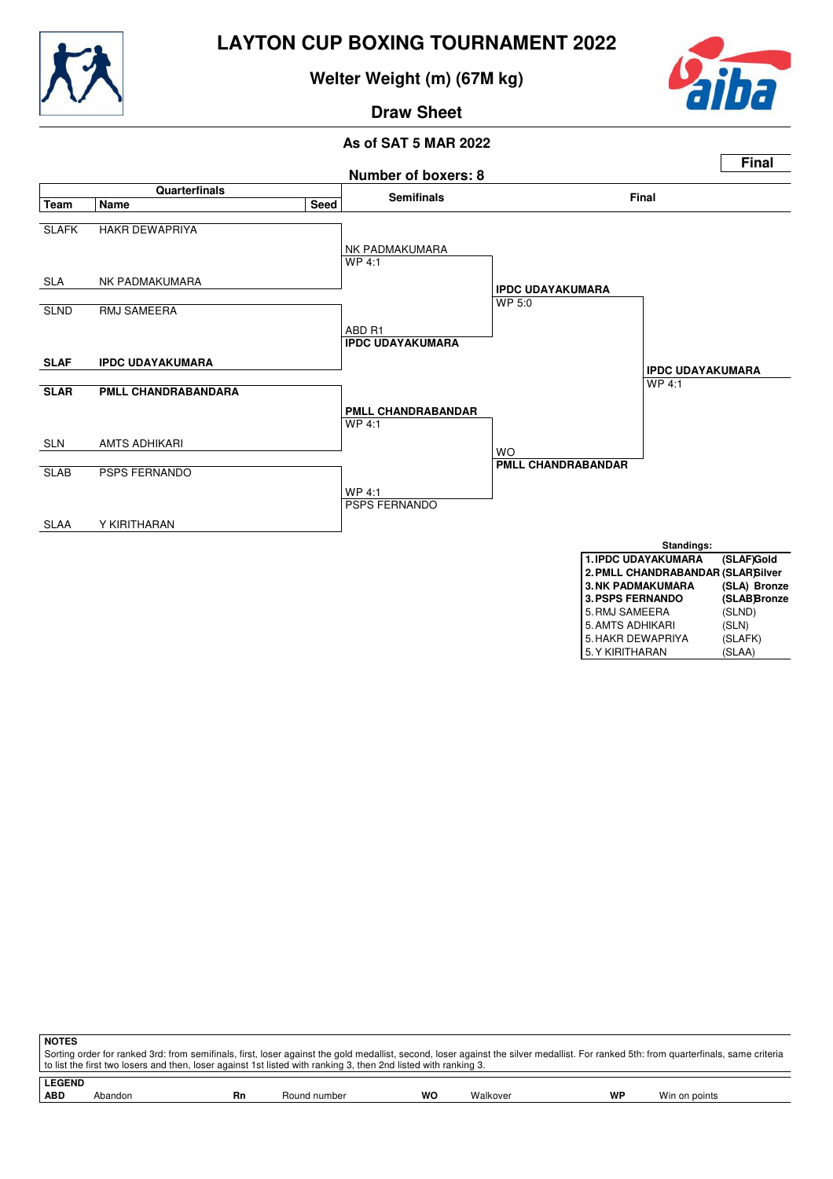

**Welter Weight (m) (67M kg)**



**Draw Sheet**



| <b>NOTES</b>  |                                                                                                                                                                                                                                                                                                          |    |              |    |          |    |               |  |
|---------------|----------------------------------------------------------------------------------------------------------------------------------------------------------------------------------------------------------------------------------------------------------------------------------------------------------|----|--------------|----|----------|----|---------------|--|
|               | Sorting order for ranked 3rd: from semifinals, first, loser against the gold medallist, second, loser against the silver medallist. For ranked 5th: from quarterfinals, same criteria<br>to list the first two losers and then, loser against 1st listed with ranking 3, then 2nd listed with ranking 3. |    |              |    |          |    |               |  |
| <b>LEGEND</b> |                                                                                                                                                                                                                                                                                                          |    |              |    |          |    |               |  |
| <b>ABD</b>    | Abandon                                                                                                                                                                                                                                                                                                  | Rn | Round number | wo | Walkover | WP | Win on points |  |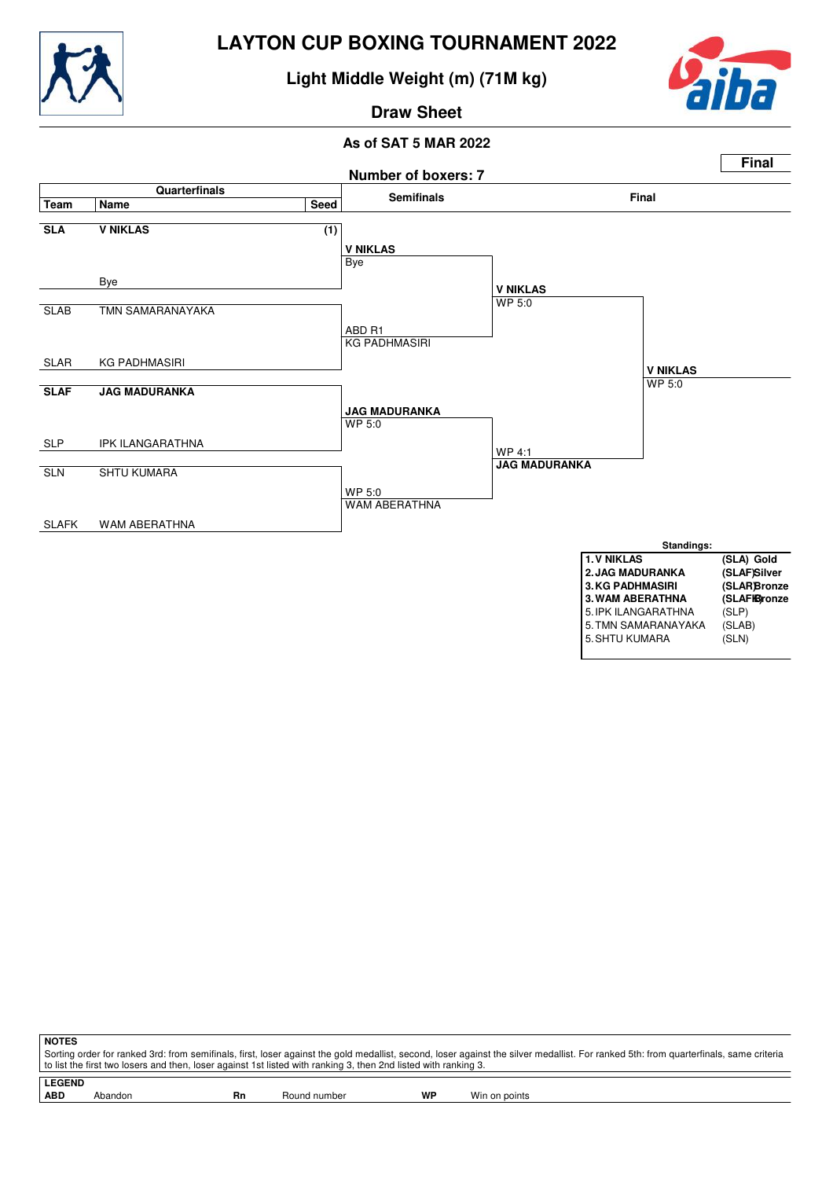

**Light Middle Weight (m) (71M kg)**



**Draw Sheet**

#### **As of SAT 5 MAR 2022**



**NOTES** Sorting order for ranked 3rd: from semifinals, first, loser against the gold medallist, second, loser against the silver medallist. For ranked 5th: from quarterfinals, same criteria to list the first two losers and then, loser against 1st listed with ranking 3, then 2nd listed with ranking 3.

**LEGEND** Abandon **Rn** Round number **WP** Win on points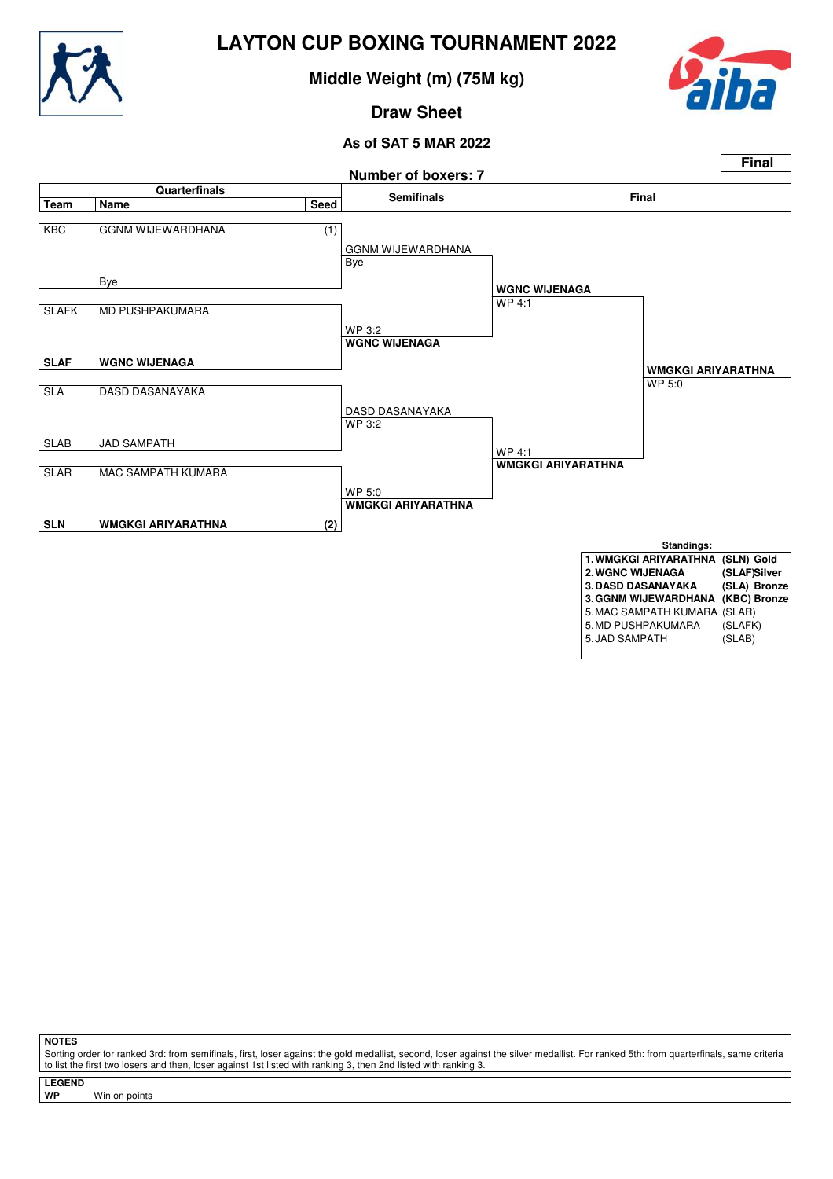

## **Middle Weight (m) (75M kg)**



# **Draw Sheet**

### **As of SAT 5 MAR 2022**



**NOTES**

Sorting order for ranked 3rd: from semifinals, first, loser against the gold medallist, second, loser against the silver medallist. For ranked 5th: from quarterfinals, same criteria to list the first two losers and then, loser against 1st listed with ranking 3, then 2nd listed with ranking 3.

**LEGEND**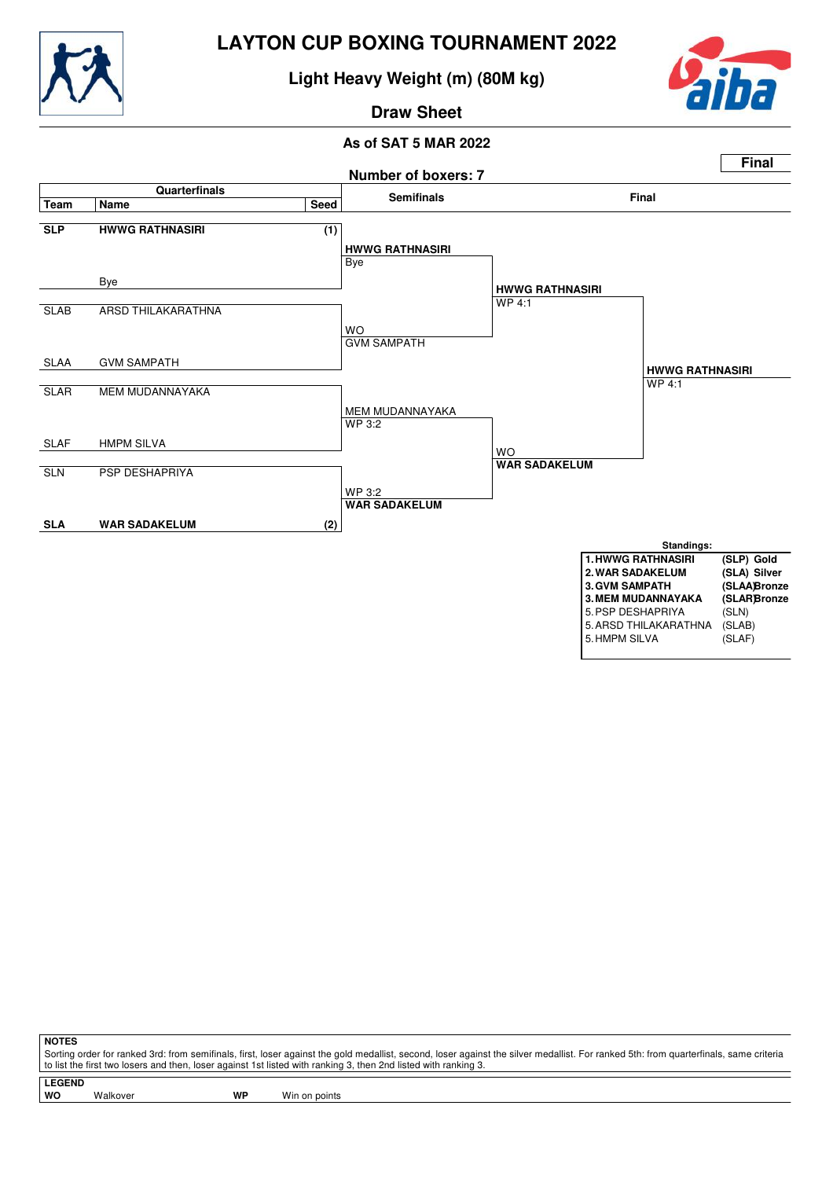

## **Light Heavy Weight (m) (80M kg)**



## **Draw Sheet**

#### **As of SAT 5 MAR 2022**



**NOTES**

Sorting order for ranked 3rd: from semifinals, first, loser against the gold medallist, second, loser against the silver medallist. For ranked 5th: from quarterfinals, same criteria to list the first two losers and then, loser against 1st listed with ranking 3, then 2nd listed with ranking 3.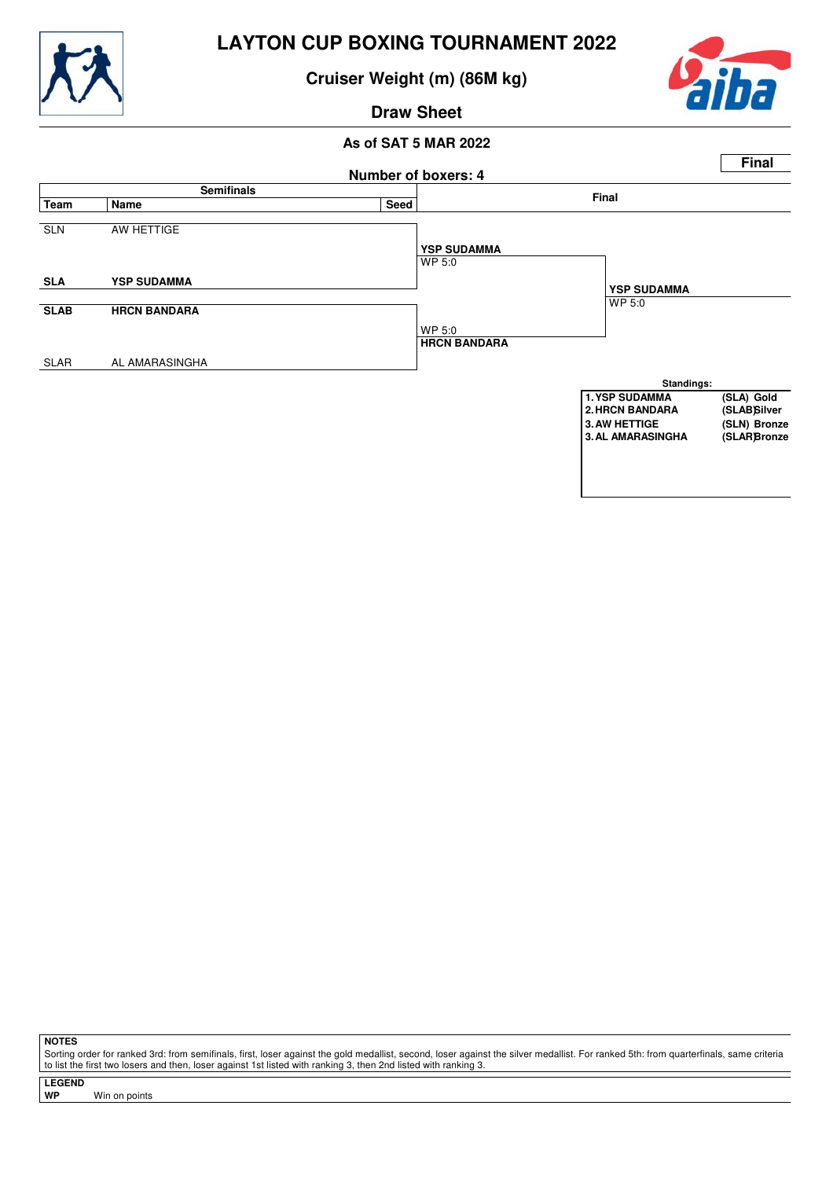

**Cruiser Weight (m) (86M kg)**



# **Draw Sheet**

#### **As of SAT 5 MAR 2022**



**NOTES**

Sorting order for ranked 3rd: from semifinals, first, loser against the gold medallist, second, loser against the silver medallist. For ranked 5th: from quarterfinals, same criteria to list the first two losers and then, loser against 1st listed with ranking 3, then 2nd listed with ranking 3.

**LEGEND**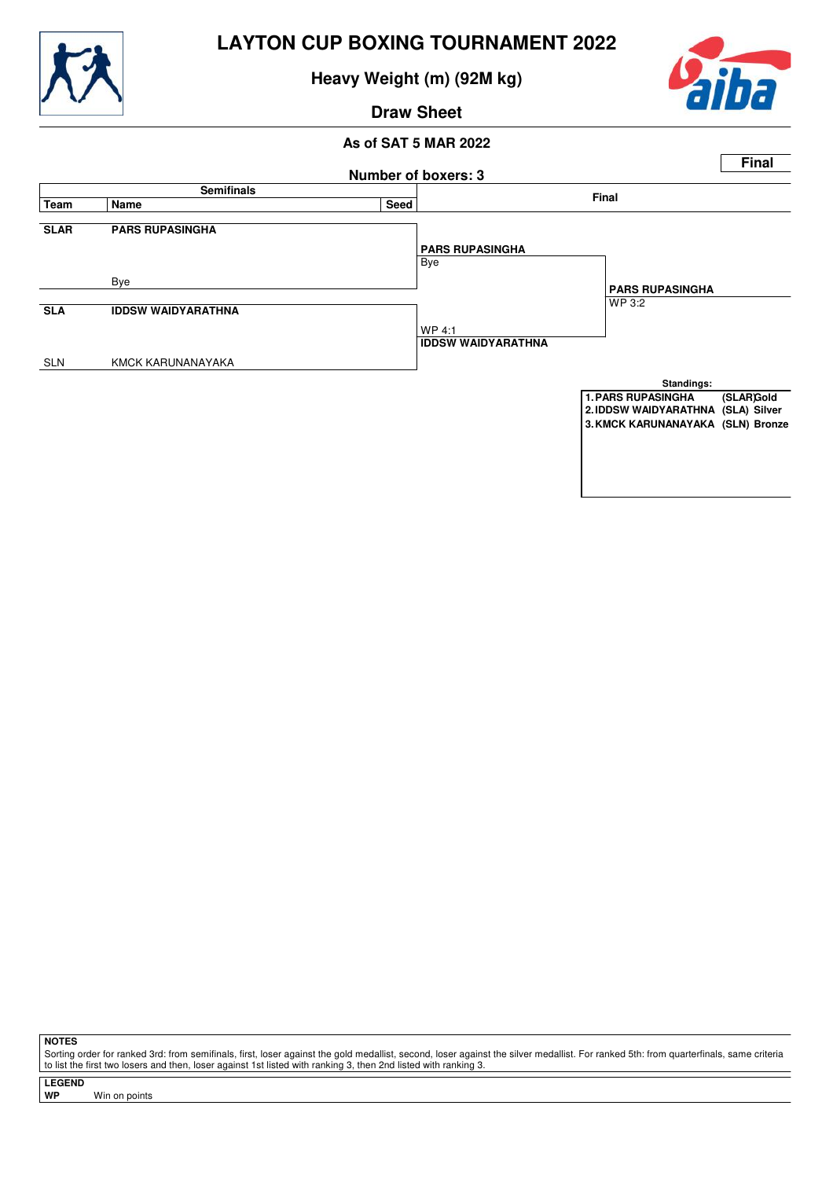

**Heavy Weight (m) (92M kg)**



## **Draw Sheet**

#### **As of SAT 5 MAR 2022**



**NOTES**

Sorting order for ranked 3rd: from semifinals, first, loser against the gold medallist, second, loser against the silver medallist. For ranked 5th: from quarterfinals, same criteria to list the first two losers and then, loser against 1st listed with ranking 3, then 2nd listed with ranking 3.

**LEGEND**